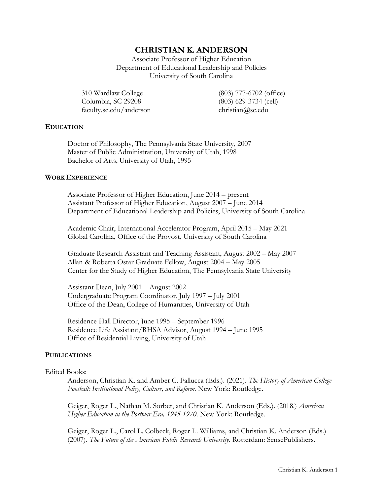# **CHRISTIAN K. ANDERSON**

Associate Professor of Higher Education Department of Educational Leadership and Policies University of South Carolina

310 Wardlaw College (803) 777-6702 (office) Columbia, SC 29208 (803) 629-3734 (cell) faculty.sc.edu/anderson christian@sc.edu

## **EDUCATION**

Doctor of Philosophy, The Pennsylvania State University, 2007 Master of Public Administration, University of Utah, 1998 Bachelor of Arts, University of Utah, 1995

## **WORK EXPERIENCE**

Associate Professor of Higher Education, June 2014 – present Assistant Professor of Higher Education, August 2007 – June 2014 Department of Educational Leadership and Policies, University of South Carolina

Academic Chair, International Accelerator Program, April 2015 – May 2021 Global Carolina, Office of the Provost, University of South Carolina

Graduate Research Assistant and Teaching Assistant, August 2002 – May 2007 Allan & Roberta Ostar Graduate Fellow, August 2004 – May 2005 Center for the Study of Higher Education, The Pennsylvania State University

Assistant Dean, July 2001 – August 2002 Undergraduate Program Coordinator, July 1997 – July 2001 Office of the Dean, College of Humanities, University of Utah

Residence Hall Director, June 1995 – September 1996 Residence Life Assistant/RHSA Advisor, August 1994 – June 1995 Office of Residential Living, University of Utah

#### **PUBLICATIONS**

#### Edited Books:

Anderson, Christian K. and Amber C. Fallucca (Eds.). (2021). *The History of American College Football: Institutional Policy, Culture, and Reform*. New York: Routledge.

Geiger, Roger L., Nathan M. Sorber, and Christian K. Anderson (Eds.). (2018.) *American Higher Education in the Postwar Era, 1945-1970*. New York: Routledge.

Geiger, Roger L., Carol L. Colbeck, Roger L. Williams, and Christian K. Anderson (Eds.) (2007). *The Future of the American Public Research University*. Rotterdam: SensePublishers.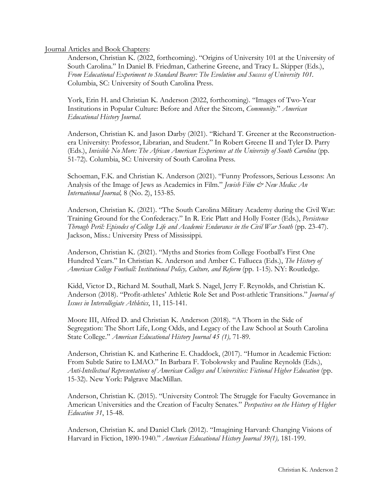Journal Articles and Book Chapters:

Anderson, Christian K. (2022, forthcoming). "Origins of University 101 at the University of South Carolina." In Daniel B. Friedman, Catherine Greene, and Tracy L. Skipper (Eds.), *From Educational Experiment to Standard Bearer: The Evolution and Success of University 101.* Columbia, SC: University of South Carolina Press.

York, Erin H. and Christian K. Anderson (2022, forthcoming). "Images of Two-Year Institutions in Popular Culture: Before and After the Sitcom, *Community*." *American Educational History Journal*.

Anderson, Christian K. and Jason Darby (2021). "Richard T. Greener at the Reconstructionera University: Professor, Librarian, and Student." In Robert Greene II and Tyler D. Parry (Eds.), *Invisible No More: The African American Experience at the University of South Carolina* (pp. 51-72)*.* Columbia, SC: University of South Carolina Press.

Schoeman, F.K. and Christian K. Anderson (2021). "Funny Professors, Serious Lessons: An Analysis of the Image of Jews as Academics in Film." *Jewish Film & New Media: An International Journal,* 8 (No. 2), 153-85.

Anderson, Christian K. (2021). "The South Carolina Military Academy during the Civil War: Training Ground for the Confederacy." In R. Eric Platt and Holly Foster (Eds.), *Persistence Through Peril: Episodes of College Life and Academic Endurance in the Civil War South* (pp. 23-47). Jackson, Miss.: University Press of Mississippi.

Anderson, Christian K. (2021). "Myths and Stories from College Football's First One Hundred Years." In Christian K. Anderson and Amber C. Fallucca (Eds.), *The History of American College Football: Institutional Policy, Culture, and Reform* (pp. 1-15). NY: Routledge.

Kidd, Victor D., Richard M. Southall, Mark S. Nagel, Jerry F. Reynolds, and Christian K. Anderson (2018). "Profit-athletes' Athletic Role Set and Post-athletic Transitions." *Journal of Issues in Intercollegiate Athletics*, 11, 115-141.

Moore III, Alfred D. and Christian K. Anderson (2018). "A Thorn in the Side of Segregation: The Short Life, Long Odds, and Legacy of the Law School at South Carolina State College." *American Educational History Journal 45 (1),* 71-89.

Anderson, Christian K. and Katherine E. Chaddock, (2017). "Humor in Academic Fiction: From Subtle Satire to LMAO." In Barbara F. Tobolowsky and Pauline Reynolds (Eds.), *Anti-Intellectual Representations of American Colleges and Universities: Fictional Higher Education* (pp. 15-32). New York: Palgrave MacMillan.

Anderson, Christian K. (2015). "University Control: The Struggle for Faculty Governance in American Universities and the Creation of Faculty Senates." *Perspectives on the History of Higher Education 31*, 15-48.

Anderson, Christian K. and Daniel Clark (2012). "Imagining Harvard: Changing Visions of Harvard in Fiction, 1890-1940." *American Educational History Journal 39(1),* 181-199.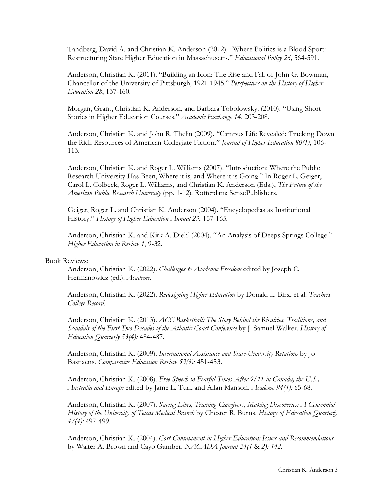Tandberg, David A. and Christian K. Anderson (2012). "Where Politics is a Blood Sport: Restructuring State Higher Education in Massachusetts." *Educational Policy 26,* 564-591.

Anderson, Christian K. (2011). "Building an Icon: The Rise and Fall of John G. Bowman, Chancellor of the University of Pittsburgh, 1921-1945." *Perspectives on the History of Higher Education 28*, 137-160.

Morgan, Grant, Christian K. Anderson, and Barbara Tobolowsky. (2010). "Using Short Stories in Higher Education Courses." *Academic Exchange 14*, 203-208*.*

Anderson, Christian K. and John R. Thelin (2009). "Campus Life Revealed: Tracking Down the Rich Resources of American Collegiate Fiction." *Journal of Higher Education 80(1)*, 106- 113.

Anderson, Christian K. and Roger L. Williams (2007). "Introduction: Where the Public Research University Has Been, Where it is, and Where it is Going." In Roger L. Geiger, Carol L. Colbeck, Roger L. Williams, and Christian K. Anderson (Eds.), *The Future of the American Public Research University* (pp. 1-12). Rotterdam: SensePublishers.

Geiger, Roger L. and Christian K. Anderson (2004). "Encyclopedias as Institutional History." *History of Higher Education Annual 23*, 157-165.

Anderson, Christian K. and Kirk A. Diehl (2004). "An Analysis of Deeps Springs College." *Higher Education in Review 1*, 9-32.

#### Book Reviews:

Anderson, Christian K. (2022). *Challenges to Academic Freedom* edited by Joseph C. Hermanowicz (ed.). *Academe*.

Anderson, Christian K. (2022). *Redesigning Higher Education* by Donald L. Birx, et al. *Teachers College Record*.

Anderson, Christian K. (2013). *ACC Basketball: The Story Behind the Rivalries, Traditions, and Scandals of the First Two Decades of the Atlantic Coast Conference* by J. Samuel Walker. *History of Education Quarterly 53(4):* 484-487*.*

Anderson, Christian K. (2009). *International Assistance and State-University Relations* by Jo Bastiaens. *Comparative Education Review 53(3):* 451-453.

Anderson, Christian K. (2008). *Free Speech in Fearful Times After 9/11 in Canada, the U.S., Australia and Europe* edited by Jame L. Turk and Allan Manson. *Academe 94(4):* 65-68.

Anderson, Christian K. (2007). *Saving Lives, Training Caregivers, Making Discoveries: A Centennial History of the University of Texas Medical Branch* by Chester R. Burns. *History of Education Quarterly 47(4):* 497-499.

Anderson, Christian K. (2004). *Cost Containment in Higher Education: Issues and Recommendations* by Walter A. Brown and Cayo Gamber. *NACADA Journal 24(1* & *2): 142.*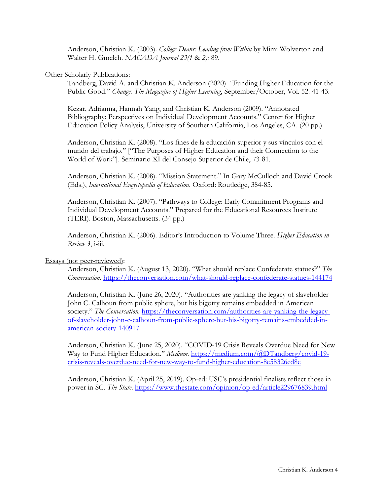Anderson, Christian K. (2003). *College Deans: Leading from Within* by Mimi Wolverton and Walter H. Gmelch. *NACADA Journal 23(1* & *2):* 89.

## Other Scholarly Publications:

Tandberg, David A. and Christian K. Anderson (2020). "Funding Higher Education for the Public Good." *Change: The Magazine of Higher Learning*, September/October, Vol. 52: 41-43.

Kezar, Adrianna, Hannah Yang, and Christian K. Anderson (2009). "Annotated Bibliography: Perspectives on Individual Development Accounts." Center for Higher Education Policy Analysis, University of Southern California, Los Angeles, CA. (20 pp.)

Anderson, Christian K. (2008). "Los fines de la educación superior y sus vínculos con el mundo del trabajo." ["The Purposes of Higher Education and their Connection to the World of Work"]. Seminario XI del Consejo Superior de Chile, 73-81.

Anderson, Christian K. (2008). "Mission Statement." In Gary McCulloch and David Crook (Eds.), *International Encyclopedia of Education*. Oxford: Routledge, 384-85.

Anderson, Christian K. (2007). "Pathways to College: Early Commitment Programs and Individual Development Accounts." Prepared for the Educational Resources Institute (TERI). Boston, Massachusetts. (34 pp.)

Anderson, Christian K. (2006). Editor's Introduction to Volume Three. *Higher Education in Review 3*, i-iii.

Essays (not peer-reviewed):

Anderson, Christian K. (August 13, 2020). "What should replace Confederate statues?" *The Conversation*. https://theconversation.com/what-should-replace-confederate-statues-144174

Anderson, Christian K. (June 26, 2020). "Authorities are yanking the legacy of slaveholder John C. Calhoun from public sphere, but his bigotry remains embedded in American society." *The Conversation.* https://theconversation.com/authorities-are-yanking-the-legacyof-slaveholder-john-c-calhoun-from-public-sphere-but-his-bigotry-remains-embedded-inamerican-society-140917

Anderson, Christian K. (June 25, 2020). "COVID-19 Crisis Reveals Overdue Need for New Way to Fund Higher Education." *Medium.* https://medium.com/@DTandberg/covid-19crisis-reveals-overdue-need-for-new-way-to-fund-higher-education-8e58326ed8e

Anderson, Christian K. (April 25, 2019). Op-ed: USC's presidential finalists reflect those in power in SC. *The State*. https://www.thestate.com/opinion/op-ed/article229676839.html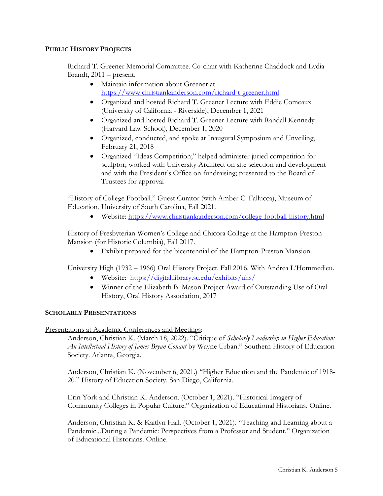## **PUBLIC HISTORY PROJECTS**

Richard T. Greener Memorial Committee. Co-chair with Katherine Chaddock and Lydia Brandt, 2011 – present.

- Maintain information about Greener at https://www.christiankanderson.com/richard-t-greener.html
- Organized and hosted Richard T. Greener Lecture with Eddie Comeaux (University of California - Riverside), December 1, 2021
- Organized and hosted Richard T. Greener Lecture with Randall Kennedy (Harvard Law School), December 1, 2020
- Organized, conducted, and spoke at Inaugural Symposium and Unveiling, February 21, 2018
- Organized "Ideas Competition;" helped administer juried competition for sculptor; worked with University Architect on site selection and development and with the President's Office on fundraising; presented to the Board of Trustees for approval

"History of College Football." Guest Curator (with Amber C. Fallucca), Museum of Education, University of South Carolina, Fall 2021.

• Website: https://www.christiankanderson.com/college-football-history.html

History of Presbyterian Women's College and Chicora College at the Hampton-Preston Mansion (for Historic Columbia), Fall 2017.

• Exhibit prepared for the bicentennial of the Hampton-Preston Mansion.

University High (1932 – 1966) Oral History Project. Fall 2016. With Andrea L'Hommedieu.

- Website: https://digital.library.sc.edu/exhibits/uhs/
- Winner of the Elizabeth B. Mason Project Award of Outstanding Use of Oral History, Oral History Association, 2017

## **SCHOLARLY PRESENTATIONS**

Presentations at Academic Conferences and Meetings:

Anderson, Christian K. (March 18, 2022). "Critique of *Scholarly Leadership in Higher Education: An Intellectual History of James Bryan Conant* by Wayne Urban." Southern History of Education Society. Atlanta, Georgia.

Anderson, Christian K. (November 6, 2021.) "Higher Education and the Pandemic of 1918- 20." History of Education Society. San Diego, California.

Erin York and Christian K. Anderson. (October 1, 2021). "Historical Imagery of Community Colleges in Popular Culture." Organization of Educational Historians. Online.

Anderson, Christian K. & Kaitlyn Hall. (October 1, 2021). "Teaching and Learning about a Pandemic...During a Pandemic: Perspectives from a Professor and Student." Organization of Educational Historians. Online.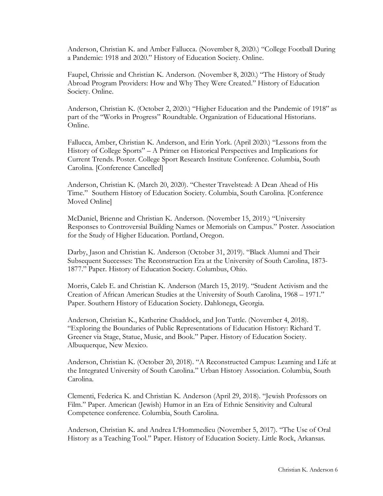Anderson, Christian K. and Amber Fallucca. (November 8, 2020.) "College Football During a Pandemic: 1918 and 2020." History of Education Society. Online.

Faupel, Chrissie and Christian K. Anderson. (November 8, 2020.) "The History of Study Abroad Program Providers: How and Why They Were Created." History of Education Society. Online.

Anderson, Christian K. (October 2, 2020.) "Higher Education and the Pandemic of 1918" as part of the "Works in Progress" Roundtable. Organization of Educational Historians. Online.

Fallucca, Amber, Christian K. Anderson, and Erin York. (April 2020.) "Lessons from the History of College Sports" – A Primer on Historical Perspectives and Implications for Current Trends. Poster. College Sport Research Institute Conference. Columbia, South Carolina. [Conference Cancelled]

Anderson, Christian K. (March 20, 2020). "Chester Travelstead: A Dean Ahead of His Time." Southern History of Education Society. Columbia, South Carolina. [Conference Moved Online]

McDaniel, Brienne and Christian K. Anderson. (November 15, 2019.) "University Responses to Controversial Building Names or Memorials on Campus." Poster. Association for the Study of Higher Education. Portland, Oregon.

Darby, Jason and Christian K. Anderson (October 31, 2019). "Black Alumni and Their Subsequent Successes: The Reconstruction Era at the University of South Carolina, 1873- 1877." Paper. History of Education Society. Columbus, Ohio.

Morris, Caleb E. and Christian K. Anderson (March 15, 2019). "Student Activism and the Creation of African American Studies at the University of South Carolina, 1968 – 1971." Paper. Southern History of Education Society. Dahlonega, Georgia.

Anderson, Christian K., Katherine Chaddock, and Jon Tuttle. (November 4, 2018). "Exploring the Boundaries of Public Representations of Education History: Richard T. Greener via Stage, Statue, Music, and Book." Paper. History of Education Society. Albuquerque, New Mexico.

Anderson, Christian K. (October 20, 2018). "A Reconstructed Campus: Learning and Life at the Integrated University of South Carolina." Urban History Association. Columbia, South Carolina.

Clementi, Federica K. and Christian K. Anderson (April 29, 2018). "Jewish Professors on Film." Paper. American (Jewish) Humor in an Era of Ethnic Sensitivity and Cultural Competence conference. Columbia, South Carolina.

Anderson, Christian K. and Andrea L'Hommedieu (November 5, 2017). "The Use of Oral History as a Teaching Tool." Paper. History of Education Society. Little Rock, Arkansas.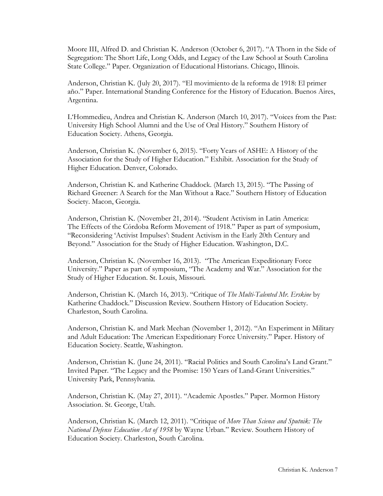Moore III, Alfred D. and Christian K. Anderson (October 6, 2017). "A Thorn in the Side of Segregation: The Short Life, Long Odds, and Legacy of the Law School at South Carolina State College." Paper. Organization of Educational Historians. Chicago, Illinois.

Anderson, Christian K. (July 20, 2017). "El movimiento de la reforma de 1918: El primer año." Paper. International Standing Conference for the History of Education. Buenos Aires, Argentina.

L'Hommedieu, Andrea and Christian K. Anderson (March 10, 2017). "Voices from the Past: University High School Alumni and the Use of Oral History." Southern History of Education Society. Athens, Georgia.

Anderson, Christian K. (November 6, 2015). "Forty Years of ASHE: A History of the Association for the Study of Higher Education." Exhibit. Association for the Study of Higher Education. Denver, Colorado.

Anderson, Christian K. and Katherine Chaddock. (March 13, 2015). "The Passing of Richard Greener: A Search for the Man Without a Race." Southern History of Education Society. Macon, Georgia.

Anderson, Christian K. (November 21, 2014). "Student Activism in Latin America: The Effects of the Córdoba Reform Movement of 1918." Paper as part of symposium, "Reconsidering 'Activist Impulses': Student Activism in the Early 20th Century and Beyond." Association for the Study of Higher Education. Washington, D.C.

Anderson, Christian K. (November 16, 2013). "The American Expeditionary Force University." Paper as part of symposium, "The Academy and War." Association for the Study of Higher Education. St. Louis, Missouri.

Anderson, Christian K. (March 16, 2013). "Critique of *The Multi-Talented Mr. Erskine* by Katherine Chaddock." Discussion Review. Southern History of Education Society. Charleston, South Carolina.

Anderson, Christian K. and Mark Meehan (November 1, 2012). "An Experiment in Military and Adult Education: The American Expeditionary Force University." Paper. History of Education Society. Seattle, Washington.

Anderson, Christian K. (June 24, 2011). "Racial Politics and South Carolina's Land Grant." Invited Paper. "The Legacy and the Promise: 150 Years of Land-Grant Universities." University Park, Pennsylvania.

Anderson, Christian K. (May 27, 2011). "Academic Apostles." Paper. Mormon History Association. St. George, Utah.

Anderson, Christian K. (March 12, 2011). "Critique of *More Than Science and Sputnik: The National Defense Education Act of 1958* by Wayne Urban." Review. Southern History of Education Society. Charleston, South Carolina.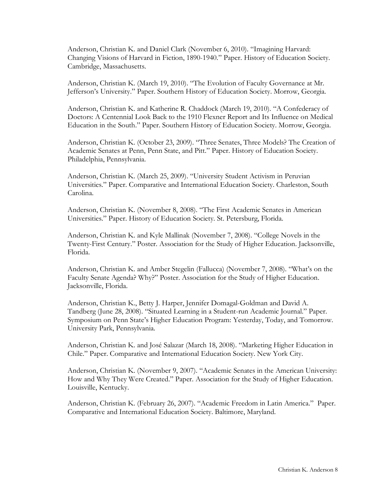Anderson, Christian K. and Daniel Clark (November 6, 2010). "Imagining Harvard: Changing Visions of Harvard in Fiction, 1890-1940." Paper. History of Education Society. Cambridge, Massachusetts.

Anderson, Christian K. (March 19, 2010). "The Evolution of Faculty Governance at Mr. Jefferson's University." Paper. Southern History of Education Society. Morrow, Georgia.

Anderson, Christian K. and Katherine R. Chaddock (March 19, 2010). "A Confederacy of Doctors: A Centennial Look Back to the 1910 Flexner Report and Its Influence on Medical Education in the South." Paper. Southern History of Education Society. Morrow, Georgia.

Anderson, Christian K. (October 23, 2009). "Three Senates, Three Models? The Creation of Academic Senates at Penn, Penn State, and Pitt." Paper. History of Education Society. Philadelphia, Pennsylvania.

Anderson, Christian K. (March 25, 2009). "University Student Activism in Peruvian Universities." Paper. Comparative and International Education Society. Charleston, South Carolina.

Anderson, Christian K. (November 8, 2008). "The First Academic Senates in American Universities." Paper. History of Education Society. St. Petersburg, Florida.

Anderson, Christian K. and Kyle Mallinak (November 7, 2008). "College Novels in the Twenty-First Century." Poster. Association for the Study of Higher Education. Jacksonville, Florida.

Anderson, Christian K. and Amber Stegelin (Fallucca) (November 7, 2008). "What's on the Faculty Senate Agenda? Why?" Poster. Association for the Study of Higher Education. Jacksonville, Florida.

Anderson, Christian K., Betty J. Harper, Jennifer Domagal-Goldman and David A. Tandberg (June 28, 2008). "Situated Learning in a Student-run Academic Journal." Paper. Symposium on Penn State's Higher Education Program: Yesterday, Today, and Tomorrow. University Park, Pennsylvania.

Anderson, Christian K. and José Salazar (March 18, 2008). "Marketing Higher Education in Chile." Paper. Comparative and International Education Society. New York City.

Anderson, Christian K. (November 9, 2007). "Academic Senates in the American University: How and Why They Were Created." Paper. Association for the Study of Higher Education. Louisville, Kentucky.

Anderson, Christian K. (February 26, 2007). "Academic Freedom in Latin America." Paper. Comparative and International Education Society. Baltimore, Maryland.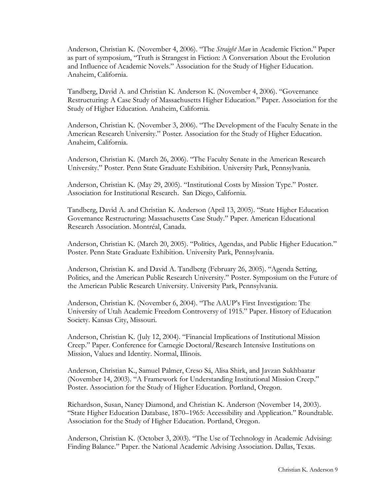Anderson, Christian K. (November 4, 2006). "The *Straight Man* in Academic Fiction." Paper as part of symposium, "Truth is Strangest in Fiction: A Conversation About the Evolution and Influence of Academic Novels." Association for the Study of Higher Education. Anaheim, California.

Tandberg, David A. and Christian K. Anderson K. (November 4, 2006). "Governance Restructuring: A Case Study of Massachusetts Higher Education." Paper. Association for the Study of Higher Education. Anaheim, California.

Anderson, Christian K. (November 3, 2006). "The Development of the Faculty Senate in the American Research University." Poster. Association for the Study of Higher Education. Anaheim, California.

Anderson, Christian K. (March 26, 2006). "The Faculty Senate in the American Research University." Poster. Penn State Graduate Exhibition. University Park, Pennsylvania.

Anderson, Christian K. (May 29, 2005). "Institutional Costs by Mission Type." Poster. Association for Institutional Research. San Diego, California.

Tandberg, David A. and Christian K. Anderson (April 13, 2005). "State Higher Education Governance Restructuring: Massachusetts Case Study." Paper. American Educational Research Association. Montréal, Canada.

Anderson, Christian K. (March 20, 2005). "Politics, Agendas, and Public Higher Education." Poster. Penn State Graduate Exhibition. University Park, Pennsylvania.

Anderson, Christian K. and David A. Tandberg (February 26, 2005). "Agenda Setting, Politics, and the American Public Research University." Poster. Symposium on the Future of the American Public Research University. University Park, Pennsylvania.

Anderson, Christian K. (November 6, 2004). "The AAUP's First Investigation: The University of Utah Academic Freedom Controversy of 1915." Paper. History of Education Society. Kansas City, Missouri.

Anderson, Christian K. (July 12, 2004). "Financial Implications of Institutional Mission Creep." Paper. Conference for Carnegie Doctoral/Research Intensive Institutions on Mission, Values and Identity. Normal, Illinois.

Anderson, Christian K., Samuel Palmer, Creso Sá, Alisa Shirk, and Javzan Sukhbaatar (November 14, 2003). "A Framework for Understanding Institutional Mission Creep." Poster. Association for the Study of Higher Education. Portland, Oregon.

Richardson, Susan, Nancy Diamond, and Christian K. Anderson (November 14, 2003). "State Higher Education Database, 1870–1965: Accessibility and Application." Roundtable. Association for the Study of Higher Education. Portland, Oregon.

Anderson, Christian K. (October 3, 2003). "The Use of Technology in Academic Advising: Finding Balance." Paper. the National Academic Advising Association. Dallas, Texas.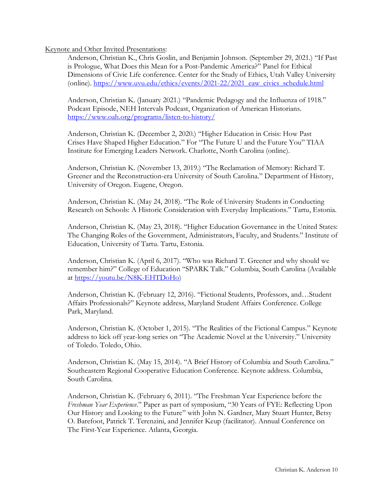## Keynote and Other Invited Presentations:

Anderson, Christian K., Chris Goslin, and Benjamin Johnson. (September 29, 2021.) "If Past is Prologue, What Does this Mean for a Post-Pandemic America?" Panel for Ethical Dimensions of Civic Life conference. Center for the Study of Ethics, Utah Valley University (online). https://www.uvu.edu/ethics/events/2021-22/2021\_eaw\_civics\_schedule.html

Anderson, Christian K. (January 2021.) "Pandemic Pedagogy and the Influenza of 1918." Podcast Episode, NEH Intervals Podcast, Organization of American Historians. https://www.oah.org/programs/listen-to-history/

Anderson, Christian K. (December 2, 2020.) "Higher Education in Crisis: How Past Crises Have Shaped Higher Education." For "The Future U and the Future You" TIAA Institute for Emerging Leaders Network. Charlotte, North Carolina (online).

Anderson, Christian K. (November 13, 2019.) "The Reclamation of Memory: Richard T. Greener and the Reconstruction-era University of South Carolina." Department of History, University of Oregon. Eugene, Oregon.

Anderson, Christian K. (May 24, 2018). "The Role of University Students in Conducting Research on Schools: A Historic Consideration with Everyday Implications." Tartu, Estonia.

Anderson, Christian K. (May 23, 2018). "Higher Education Governance in the United States: The Changing Roles of the Government, Administrators, Faculty, and Students." Institute of Education, University of Tartu. Tartu, Estonia.

Anderson, Christian K. (April 6, 2017). "Who was Richard T. Greener and why should we remember him?" College of Education "SPARK Talk." Columbia, South Carolina (Available at https://youtu.be/N8K-EHTDoHo)

Anderson, Christian K. (February 12, 2016). "Fictional Students, Professors, and…Student Affairs Professionals?" Keynote address, Maryland Student Affairs Conference. College Park, Maryland.

Anderson, Christian K. (October 1, 2015). "The Realities of the Fictional Campus." Keynote address to kick off year-long series on "The Academic Novel at the University." University of Toledo. Toledo, Ohio.

Anderson, Christian K. (May 15, 2014). "A Brief History of Columbia and South Carolina." Southeastern Regional Cooperative Education Conference. Keynote address. Columbia, South Carolina.

Anderson, Christian K. (February 6, 2011). "The Freshman Year Experience before the *Freshman Year Experience*." Paper as part of symposium, "30 Years of FYE: Reflecting Upon Our History and Looking to the Future" with John N. Gardner, Mary Stuart Hunter, Betsy O. Barefoot, Patrick T. Terenzini, and Jennifer Keup (facilitator). Annual Conference on The First-Year Experience. Atlanta, Georgia.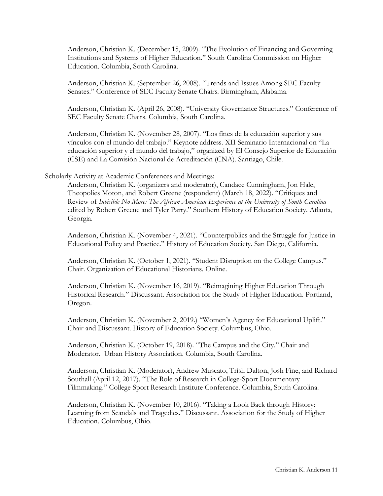Anderson, Christian K. (December 15, 2009). "The Evolution of Financing and Governing Institutions and Systems of Higher Education." South Carolina Commission on Higher Education. Columbia, South Carolina.

Anderson, Christian K. (September 26, 2008). "Trends and Issues Among SEC Faculty Senates." Conference of SEC Faculty Senate Chairs. Birmingham, Alabama.

Anderson, Christian K. (April 26, 2008). "University Governance Structures." Conference of SEC Faculty Senate Chairs. Columbia, South Carolina.

Anderson, Christian K. (November 28, 2007). "Los fines de la educación superior y sus vínculos con el mundo del trabajo." Keynote address. XII Seminario Internacional on "La educación superior y el mundo del trabajo," organized by El Consejo Superior de Educación (CSE) and La Comisión Nacional de Acreditación (CNA). Santiago, Chile.

## Scholarly Activity at Academic Conferences and Meetings:

Anderson, Christian K. (organizers and moderator), Candace Cunningham, Jon Hale, Theopolies Moton, and Robert Greene (respondent) (March 18, 2022). "Critiques and Review of *Invisible No More: The African American Experience at the University of South Carolina* edited by Robert Greene and Tyler Parry." Southern History of Education Society. Atlanta, Georgia.

Anderson, Christian K. (November 4, 2021). "Counterpublics and the Struggle for Justice in Educational Policy and Practice." History of Education Society. San Diego, California.

Anderson, Christian K. (October 1, 2021). "Student Disruption on the College Campus." Chair. Organization of Educational Historians. Online.

Anderson, Christian K. (November 16, 2019). "Reimagining Higher Education Through Historical Research." Discussant. Association for the Study of Higher Education. Portland, Oregon.

Anderson, Christian K. (November 2, 2019.) "Women's Agency for Educational Uplift." Chair and Discussant. History of Education Society. Columbus, Ohio.

Anderson, Christian K. (October 19, 2018). "The Campus and the City." Chair and Moderator. Urban History Association. Columbia, South Carolina.

Anderson, Christian K. (Moderator), Andrew Muscato, Trish Dalton, Josh Fine, and Richard Southall (April 12, 2017). "The Role of Research in College-Sport Documentary Filmmaking." College Sport Research Institute Conference. Columbia, South Carolina.

Anderson, Christian K. (November 10, 2016). "Taking a Look Back through History: Learning from Scandals and Tragedies." Discussant. Association for the Study of Higher Education. Columbus, Ohio.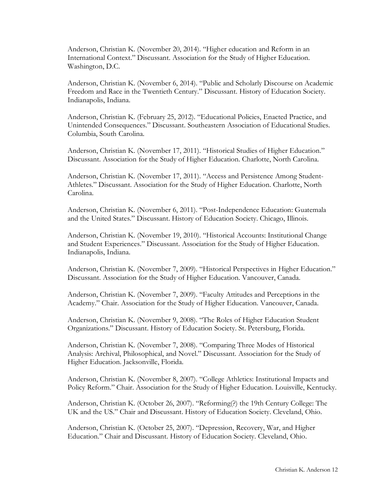Anderson, Christian K. (November 20, 2014). "Higher education and Reform in an International Context." Discussant. Association for the Study of Higher Education. Washington, D.C.

Anderson, Christian K. (November 6, 2014). "Public and Scholarly Discourse on Academic Freedom and Race in the Twentieth Century." Discussant. History of Education Society. Indianapolis, Indiana.

Anderson, Christian K. (February 25, 2012). "Educational Policies, Enacted Practice, and Unintended Consequences." Discussant. Southeastern Association of Educational Studies. Columbia, South Carolina.

Anderson, Christian K. (November 17, 2011). "Historical Studies of Higher Education." Discussant. Association for the Study of Higher Education. Charlotte, North Carolina.

Anderson, Christian K. (November 17, 2011). "Access and Persistence Among Student-Athletes." Discussant. Association for the Study of Higher Education. Charlotte, North Carolina.

Anderson, Christian K. (November 6, 2011). "Post-Independence Education: Guatemala and the United States." Discussant. History of Education Society. Chicago, Illinois.

Anderson, Christian K. (November 19, 2010). "Historical Accounts: Institutional Change and Student Experiences." Discussant. Association for the Study of Higher Education. Indianapolis, Indiana.

Anderson, Christian K. (November 7, 2009). "Historical Perspectives in Higher Education." Discussant. Association for the Study of Higher Education. Vancouver, Canada.

Anderson, Christian K. (November 7, 2009). "Faculty Attitudes and Perceptions in the Academy." Chair. Association for the Study of Higher Education. Vancouver, Canada.

Anderson, Christian K. (November 9, 2008). "The Roles of Higher Education Student Organizations." Discussant. History of Education Society. St. Petersburg, Florida.

Anderson, Christian K. (November 7, 2008). "Comparing Three Modes of Historical Analysis: Archival, Philosophical, and Novel." Discussant. Association for the Study of Higher Education. Jacksonville, Florida.

Anderson, Christian K. (November 8, 2007). "College Athletics: Institutional Impacts and Policy Reform." Chair. Association for the Study of Higher Education. Louisville, Kentucky.

Anderson, Christian K. (October 26, 2007). "Reforming(?) the 19th Century College: The UK and the US." Chair and Discussant. History of Education Society. Cleveland, Ohio.

Anderson, Christian K. (October 25, 2007). "Depression, Recovery, War, and Higher Education." Chair and Discussant. History of Education Society. Cleveland, Ohio.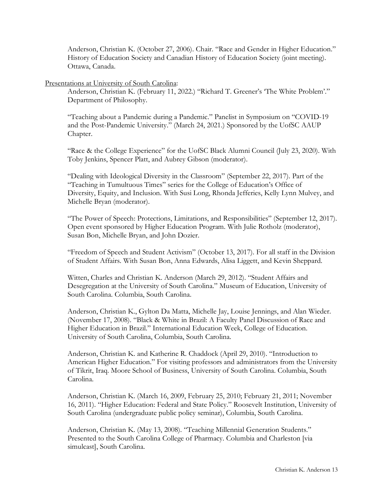Anderson, Christian K. (October 27, 2006). Chair. "Race and Gender in Higher Education." History of Education Society and Canadian History of Education Society (joint meeting). Ottawa, Canada.

## Presentations at University of South Carolina:

Anderson, Christian K. (February 11, 2022.) "Richard T. Greener's 'The White Problem'." Department of Philosophy.

"Teaching about a Pandemic during a Pandemic." Panelist in Symposium on "COVID-19 and the Post-Pandemic University." (March 24, 2021.) Sponsored by the UofSC AAUP Chapter.

"Race & the College Experience" for the UofSC Black Alumni Council (July 23, 2020). With Toby Jenkins, Spencer Platt, and Aubrey Gibson (moderator).

"Dealing with Ideological Diversity in the Classroom" (September 22, 2017). Part of the "Teaching in Tumultuous Times" series for the College of Education's Office of Diversity, Equity, and Inclusion. With Susi Long, Rhonda Jefferies, Kelly Lynn Mulvey, and Michelle Bryan (moderator).

"The Power of Speech: Protections, Limitations, and Responsibilities" (September 12, 2017). Open event sponsored by Higher Education Program. With Julie Rotholz (moderator), Susan Bon, Michelle Bryan, and John Dozier.

"Freedom of Speech and Student Activism" (October 13, 2017). For all staff in the Division of Student Affairs. With Susan Bon, Anna Edwards, Alisa Liggett, and Kevin Sheppard.

Witten, Charles and Christian K. Anderson (March 29, 2012). "Student Affairs and Desegregation at the University of South Carolina." Museum of Education, University of South Carolina. Columbia, South Carolina.

Anderson, Christian K., Gylton Da Matta, Michelle Jay, Louise Jennings, and Alan Wieder. (November 17, 2008). "Black & White in Brazil: A Faculty Panel Discussion of Race and Higher Education in Brazil." International Education Week, College of Education. University of South Carolina, Columbia, South Carolina.

Anderson, Christian K. and Katherine R. Chaddock (April 29, 2010). "Introduction to American Higher Education." For visiting professors and administrators from the University of Tikrit, Iraq. Moore School of Business, University of South Carolina. Columbia, South Carolina.

Anderson, Christian K. (March 16, 2009, February 25, 2010; February 21, 2011; November 16, 2011). "Higher Education: Federal and State Policy." Roosevelt Institution, University of South Carolina (undergraduate public policy seminar), Columbia, South Carolina.

Anderson, Christian K. (May 13, 2008). "Teaching Millennial Generation Students." Presented to the South Carolina College of Pharmacy. Columbia and Charleston [via simulcast], South Carolina.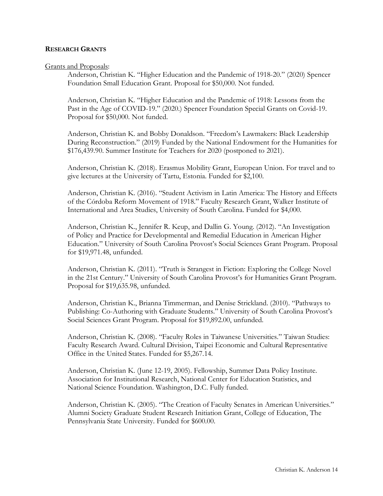## **RESEARCH GRANTS**

#### Grants and Proposals:

Anderson, Christian K. "Higher Education and the Pandemic of 1918-20." (2020) Spencer Foundation Small Education Grant. Proposal for \$50,000. Not funded.

Anderson, Christian K. "Higher Education and the Pandemic of 1918: Lessons from the Past in the Age of COVID-19." (2020.) Spencer Foundation Special Grants on Covid-19. Proposal for \$50,000. Not funded.

Anderson, Christian K. and Bobby Donaldson. "Freedom's Lawmakers: Black Leadership During Reconstruction." (2019) Funded by the National Endowment for the Humanities for \$176,439.90. Summer Institute for Teachers for 2020 (postponed to 2021).

Anderson, Christian K. (2018). Erasmus Mobility Grant, European Union. For travel and to give lectures at the University of Tartu, Estonia. Funded for \$2,100.

Anderson, Christian K. (2016). "Student Activism in Latin America: The History and Effects of the Córdoba Reform Movement of 1918." Faculty Research Grant, Walker Institute of International and Area Studies, University of South Carolina. Funded for \$4,000.

Anderson, Christian K., Jennifer R. Keup, and Dallin G. Young. (2012). "An Investigation of Policy and Practice for Developmental and Remedial Education in American Higher Education." University of South Carolina Provost's Social Sciences Grant Program. Proposal for \$19,971.48, unfunded.

Anderson, Christian K. (2011). "Truth is Strangest in Fiction: Exploring the College Novel in the 21st Century." University of South Carolina Provost's for Humanities Grant Program. Proposal for \$19,635.98, unfunded.

Anderson, Christian K., Brianna Timmerman, and Denise Strickland. (2010). "Pathways to Publishing: Co-Authoring with Graduate Students." University of South Carolina Provost's Social Sciences Grant Program. Proposal for \$19,892.00, unfunded.

Anderson, Christian K. (2008). "Faculty Roles in Taiwanese Universities." Taiwan Studies: Faculty Research Award. Cultural Division, Taipei Economic and Cultural Representative Office in the United States. Funded for \$5,267.14.

Anderson, Christian K. (June 12-19, 2005). Fellowship, Summer Data Policy Institute. Association for Institutional Research, National Center for Education Statistics, and National Science Foundation. Washington, D.C. Fully funded.

Anderson, Christian K. (2005). "The Creation of Faculty Senates in American Universities." Alumni Society Graduate Student Research Initiation Grant, College of Education, The Pennsylvania State University. Funded for \$600.00.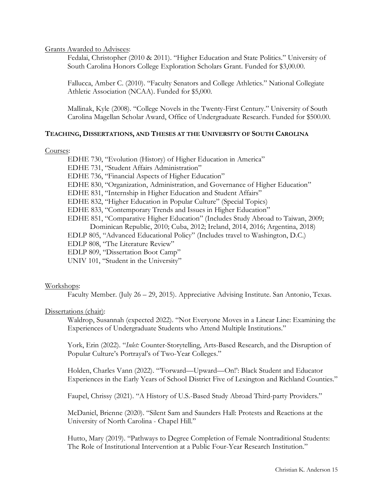Grants Awarded to Advisees:

Fedalai, Christopher (2010 & 2011). "Higher Education and State Politics." University of South Carolina Honors College Exploration Scholars Grant. Funded for \$3,00.00.

Fallucca, Amber C. (2010). "Faculty Senators and College Athletics." National Collegiate Athletic Association (NCAA). Funded for \$5,000.

Mallinak, Kyle (2008). "College Novels in the Twenty-First Century." University of South Carolina Magellan Scholar Award, Office of Undergraduate Research. Funded for \$500.00.

## **TEACHING, DISSERTATIONS, AND THESES AT THE UNIVERSITY OF SOUTH CAROLINA**

Courses:

EDHE 730, "Evolution (History) of Higher Education in America" EDHE 731, "Student Affairs Administration" EDHE 736, "Financial Aspects of Higher Education" EDHE 830, "Organization, Administration, and Governance of Higher Education" EDHE 831, "Internship in Higher Education and Student Affairs" EDHE 832, "Higher Education in Popular Culture" (Special Topics) EDHE 833, "Contemporary Trends and Issues in Higher Education" EDHE 851, "Comparative Higher Education" (Includes Study Abroad to Taiwan, 2009; Dominican Republic, 2010; Cuba, 2012; Ireland, 2014, 2016; Argentina, 2018) EDLP 805, "Advanced Educational Policy" (Includes travel to Washington, D.C.) EDLP 808, "The Literature Review" EDLP 809, "Dissertation Boot Camp" UNIV 101, "Student in the University"

# Workshops:

Faculty Member. (July 26 – 29, 2015). Appreciative Advising Institute. San Antonio, Texas.

## Dissertations (chair):

Waldrop, Susannah (expected 2022). "Not Everyone Moves in a Linear Line: Examining the Experiences of Undergraduate Students who Attend Multiple Institutions."

York, Erin (2022). "*Inlet:* Counter-Storytelling, Arts-Based Research, and the Disruption of Popular Culture's Portrayal's of Two-Year Colleges."

Holden, Charles Vann (2022). "'Forward—Upward—On!': Black Student and Educator Experiences in the Early Years of School District Five of Lexington and Richland Counties."

Faupel, Chrissy (2021). "A History of U.S.-Based Study Abroad Third-party Providers."

McDaniel, Brienne (2020). "Silent Sam and Saunders Hall: Protests and Reactions at the University of North Carolina - Chapel Hill."

Hutto, Mary (2019). "Pathways to Degree Completion of Female Nontraditional Students: The Role of Institutional Intervention at a Public Four-Year Research Institution."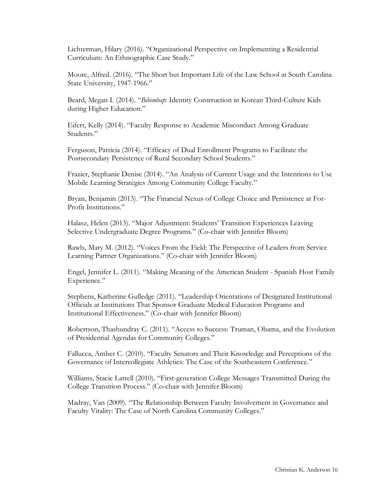Lichterman, Hilary (2016). "Organizational Perspective on Implementing a Residential Curriculum: An Ethnographic Case Study."

Moore, Alfred. (2016). "The Short but Important Life of the Law School at South Carolina State University, 1947-1966."

Beard, Megan I. (2014). "*Bibimbap*: Identity Construction in Korean Third-Culture Kids during Higher Education."

Eifert, Kelly (2014). "Faculty Response to Academic Misconduct Among Graduate Students."

Ferguson, Patricia (2014). "Efficacy of Dual Enrollment Programs to Facilitate the Postsecondary Persistence of Rural Secondary School Students."

Frazier, Stephanie Denise (2014). "An Analysis of Current Usage and the Intentions to Use Mobile Learning Strategies Among Community College Faculty."

Bryan, Benjamin (2013). "The Financial Nexus of College Choice and Persistence at For-Profit Institutions."

Halasz, Helen (2013). "Major Adjustment: Students' Transition Experiences Leaving Selective Undergraduate Degree Programs." (Co-chair with Jennifer Bloom)

Rawls, Mary M. (2012). "Voices From the Field: The Perspective of Leaders from Service Learning Partner Organizations." (Co-chair with Jennifer Bloom)

Engel, Jennifer L. (2011). "Making Meaning of the American Student - Spanish Host Family Experience."

Stephens, Katherine Gulledge (2011). "Leadership Orientations of Designated Institutional Officials at Institutions That Sponsor Graduate Medical Education Programs and Institutional Effectiveness." (Co-chair with Jennifer Bloom)

Robertson, Thashundray C. (2011). "Access to Success: Truman, Obama, and the Evolution of Presidential Agendas for Community Colleges."

Fallucca, Amber C. (2010). "Faculty Senators and Their Knowledge and Perceptions of the Governance of Intercollegiate Athletics: The Case of the Southeastern Conference."

Williams, Stacie Latrell (2010). "First-generation College Messages Transmitted During the College Transition Process." (Co-chair with Jennifer Bloom)

Madray, Van (2009). "The Relationship Between Faculty Involvement in Governance and Faculty Vitality: The Case of North Carolina Community Colleges."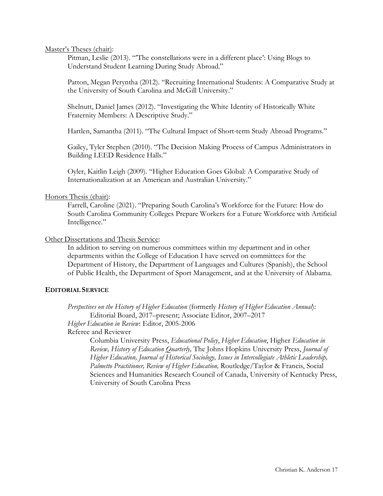Master's Theses (chair):

Pitman, Leslie (2013). "'The constellations were in a different place': Using Blogs to Understand Student Learning During Study Abroad."

Patton, Megan Peryntha (2012). "Recruiting International Students: A Comparative Study at the University of South Carolina and McGill University."

Shelnutt, Daniel James (2012). "Investigating the White Identity of Historically White Fraternity Members: A Descriptive Study."

Hartlen, Samantha (2011). "The Cultural Impact of Short-term Study Abroad Programs."

Gailey, Tyler Stephen (2010). "The Decision Making Process of Campus Administrators in Building LEED Residence Halls."

Oyler, Kaitlin Leigh (2009). "Higher Education Goes Global: A Comparative Study of Internationalization at an American and Australian University."

## Honors Thesis (chair):

Farrell, Caroline (2021). "Preparing South Carolina's Workforce for the Future: How do South Carolina Community Colleges Prepare Workers for a Future Workforce with Artificial Intelligence."

## Other Dissertations and Thesis Service:

In addition to serving on numerous committees within my department and in other departments within the College of Education I have served on committees for the Department of History, the Department of Languages and Cultures (Spanish), the School of Public Health, the Department of Sport Management, and at the University of Alabama.

## **EDITORIAL SERVICE**

*Perspectives on the History of Higher Education* (formerly *History of Higher Education Annual*): Editorial Board, 2017–present; Associate Editor, 2007–2017

*Higher Education in Review*: Editor, 2005-2006

Referee and Reviewer

Columbia University Press, *Educational Policy*, *Higher Education*, Higher *Education in Review, History of Education Quarterly,* The Johns Hopkins University Press, *Journal of Higher Education, Journal of Historical Sociology, Issues in Intercollegiate Athletic Leadership, Palmetto Practitioner, Review of Higher Education,* Routledge/Taylor & Francis, Social Sciences and Humanities Research Council of Canada, University of Kentucky Press, University of South Carolina Press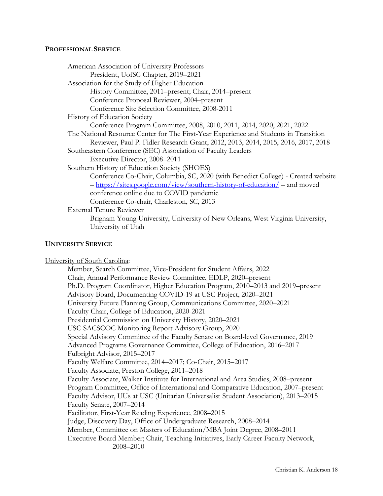## **PROFESSIONAL SERVICE**

| American Association of University Professors                                         |
|---------------------------------------------------------------------------------------|
| President, UofSC Chapter, 2019-2021                                                   |
| Association for the Study of Higher Education                                         |
| History Committee, 2011–present; Chair, 2014–present                                  |
| Conference Proposal Reviewer, 2004-present                                            |
| Conference Site Selection Committee, 2008-2011                                        |
| <b>History of Education Society</b>                                                   |
| Conference Program Committee, 2008, 2010, 2011, 2014, 2020, 2021, 2022                |
| The National Resource Center for The First-Year Experience and Students in Transition |
| Reviewer, Paul P. Fidler Research Grant, 2012, 2013, 2014, 2015, 2016, 2017, 2018     |
| Southeastern Conference (SEC) Association of Faculty Leaders                          |
| Executive Director, 2008–2011                                                         |
| Southern History of Education Society (SHOES)                                         |
| Conference Co-Chair, Columbia, SC, 2020 (with Benedict College) - Created website     |
| - https://sites.google.com/view/southern-history-of-education/ - and moved            |
| conference online due to COVID pandemic                                               |
| Conference Co-chair, Charleston, SC, 2013                                             |
| <b>External Tenure Reviewer</b>                                                       |
| Brigham Young University, University of New Orleans, West Virginia University,        |
| University of Utah                                                                    |

#### **UNIVERSITY SERVICE**

University of South Carolina:

Member, Search Committee, Vice-President for Student Affairs, 2022 Chair, Annual Performance Review Committee, EDLP, 2020–present Ph.D. Program Coordinator, Higher Education Program, 2010–2013 and 2019–present Advisory Board, Documenting COVID-19 at USC Project, 2020–2021 University Future Planning Group, Communications Committee, 2020–2021 Faculty Chair, College of Education, 2020-2021 Presidential Commission on University History, 2020–2021 USC SACSCOC Monitoring Report Advisory Group, 2020 Special Advisory Committee of the Faculty Senate on Board-level Governance, 2019 Advanced Programs Governance Committee, College of Education, 2016–2017 Fulbright Advisor, 2015–2017 Faculty Welfare Committee, 2014–2017; Co-Chair, 2015–2017 Faculty Associate, Preston College, 2011–2018 Faculty Associate, Walker Institute for International and Area Studies, 2008–present Program Committee, Office of International and Comparative Education, 2007–present Faculty Advisor, UUs at USC (Unitarian Universalist Student Association), 2013–2015 Faculty Senate, 2007–2014 Facilitator, First-Year Reading Experience, 2008–2015 Judge, Discovery Day, Office of Undergraduate Research, 2008–2014 Member, Committee on Masters of Education/MBA Joint Degree, 2008–2011 Executive Board Member; Chair, Teaching Initiatives, Early Career Faculty Network, 2008–2010